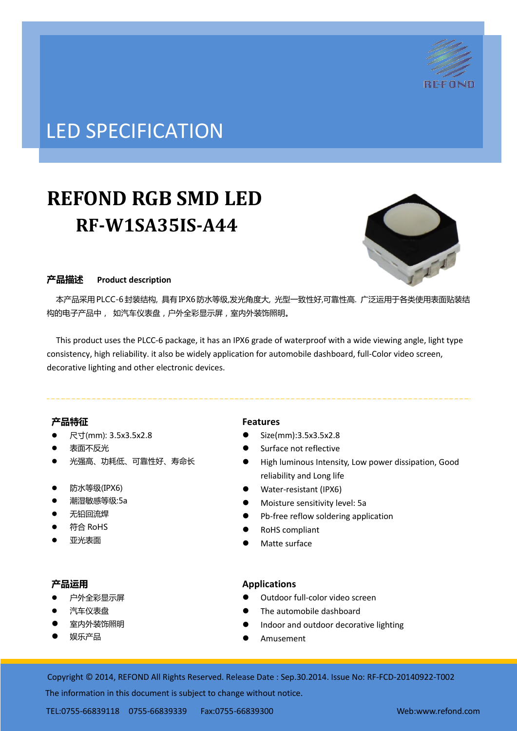

# LED SPECIFICATION

# **REFOND RGB SMD LED RF-W1SA35IS-A44**



## 产品描述 **Product description**

 本产品采用PLCC-6封装结构, 具有IPX6防水等级,发光角度大, 光型一致性好,可靠性高. 广泛运用于各类使用表面贴装结 构的电子产品中, 如汽车仪表盘,户外全彩显示屏,室内外装饰照明。

This product uses the PLCC-6 package, it has an IPX6 grade of waterproof with a wide viewing angle, light type consistency, high reliability. it also be widely application for automobile dashboard, full-Color video screen, decorative lighting and other electronic devices.

## 产品特征

- 尺寸(mm): 3.5x3.5x2.8
- 表面不反光
- 光强高、功耗低、可靠性好、寿命长
- 防水等级(IPX6)
- 潮湿敏感等级:5a
- 无铅回流焊
- 符合 RoHS
- 亚光表面

## 产品运用

- 户外全彩显示屏
- 汽车仪表盘
- 室内外装饰照明
- 娱乐产品

## **Features**

- Size(mm):3.5x3.5x2.8
- Surface not reflective
- High luminous Intensity, Low power dissipation, Good reliability and Long life
- Water-resistant (IPX6)
- Moisture sensitivity level: 5a
- Pb-free reflow soldering application
- RoHS compliant
- Matte surface

## **Applications**

- Outdoor full-color video screen
- The automobile dashboard
- Indoor and outdoor decorative lighting
- Amusement

Copyright © 2014, REFOND All Rights Reserved. Release Date : Sep.30.2014. Issue No: RF-FCD-20140922-T002

The information in this document is subject to change without notice.

TEL:0755-66839118 0755-66839339 Fax:0755-66839300 Web:www.refond.com ate : Oct.07.2013. Issue No: DSE-0009807-v1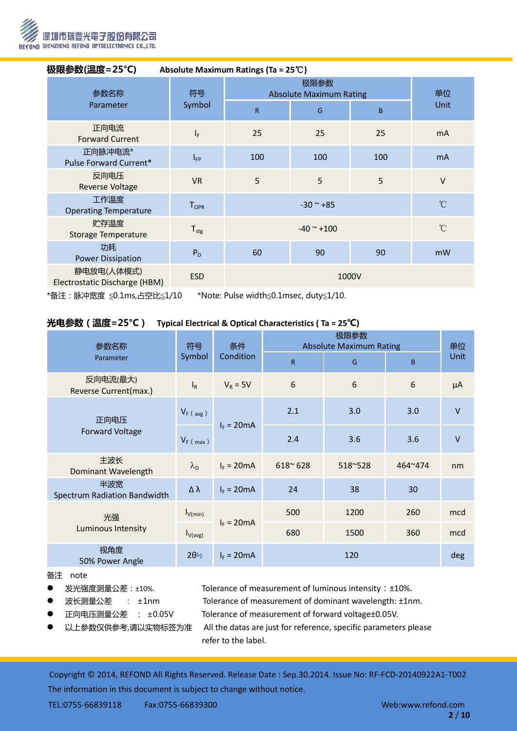

| 极限参数(温度=25℃)<br>Absolute Maximum Ratings (Ta = $25^{\circ}$ C) |                  |                               |                                                  |     |              |  |
|----------------------------------------------------------------|------------------|-------------------------------|--------------------------------------------------|-----|--------------|--|
| 参数名称<br>Parameter                                              | 符号<br>Symbol     | $\mathsf{R}$                  | 极限参数<br><b>Absolute Maximum Rating</b><br>B<br>G |     |              |  |
| 正向电流<br><b>Forward Current</b>                                 | $I_F$            | 25                            | 25                                               | 25  | <b>mA</b>    |  |
| 正向脉冲电流*<br>Pulse Forward Current*                              | $I_{FP}$         | 100                           | 100                                              | 100 | <b>mA</b>    |  |
| 反向电压<br><b>Reverse Voltage</b>                                 | <b>VR</b>        | 5                             | 5                                                | 5   | $\vee$       |  |
| 工作温度<br><b>Operating Temperature</b>                           | $T_{OPR}$        | $^{\circ}$ C<br>$-30$ ~ $+85$ |                                                  |     |              |  |
| 贮存温度<br>Storage Temperature                                    | $T_{\text{stg}}$ | $-40$ ~ $+100$                |                                                  |     | $^{\circ}$ C |  |
| 功耗<br><b>Power Dissipation</b>                                 | $P_D$            | 60                            | 90                                               | 90  | mW           |  |
| 静电放电(人体模式)<br>Electrostatic Discharge (HBM)                    | <b>ESD</b>       | 1000V                         |                                                  |     |              |  |

\*备注:脉冲宽度 ≦0.1ms,占空比≦1/10 \*Note: Pulse width≦0.1msec, duty≦1/10.

## 光电参数(温度=25°C) **Typical Electrical & Optical Characteristics ( Ta = 25**℃**)**

| 参数名称                                | 符号<br>Symbol        | 条件<br>Condition | <b>Absolute Maximum Rating</b> | 单位      |              |         |
|-------------------------------------|---------------------|-----------------|--------------------------------|---------|--------------|---------|
| Parameter                           |                     |                 | R.                             | G       | <sub>B</sub> | Unit    |
| 反向电流(最大)<br>Reverse Current(max.)   | $I_R$               | $V_R = 5V$      | 6                              | 6       | 6            | $\mu A$ |
| 正向电压<br><b>Forward Voltage</b>      | $V_F$ (avg)         | $I_F = 20mA$    | 2.1                            | 3.0     | 3.0          | $\vee$  |
|                                     | $V_F$ (max)         |                 | 2.4                            | 3.6     | 3.6          | $\vee$  |
| 主波长<br>Dominant Wavelength          | $\lambda_{\rm D}$   | $I_F = 20mA$    | $618^{\circ} 628$              | 518~528 | 464~474      | nm      |
| 半波宽<br>Spectrum Radiation Bandwidth | Δλ                  | $I_F = 20mA$    | 24                             | 38      | 30           |         |
| 光强<br>Luminous Intensity            | $I_{V(min)}$        | $I_F = 20mA$    | 500                            | 1200    | 260          | mcd     |
|                                     | $I_{V(\text{avg})}$ |                 | 680                            | 1500    | 360          | mcd     |
| 视角度<br>50% Power Angle              | $2\theta_{2}^{2}$   | $I_F = 20mA$    | 120                            |         | deg          |         |

#### 备注 note

- 
- 
- 
- 

● 发光强度测量公差:±10%. Tolerance of measurement of luminous intensity:±10%.

- 波长测量公差 : ±1nm Tolerance of measurement of dominant wavelength: ±1nm.
- 正向电压测量公差 : ±0.05V Tolerance of measurement of forward voltage±0.05V.
	- 以上参数仅供参考,请以实物标签为准 All the datas are just for reference, specific parameters please refer to the label.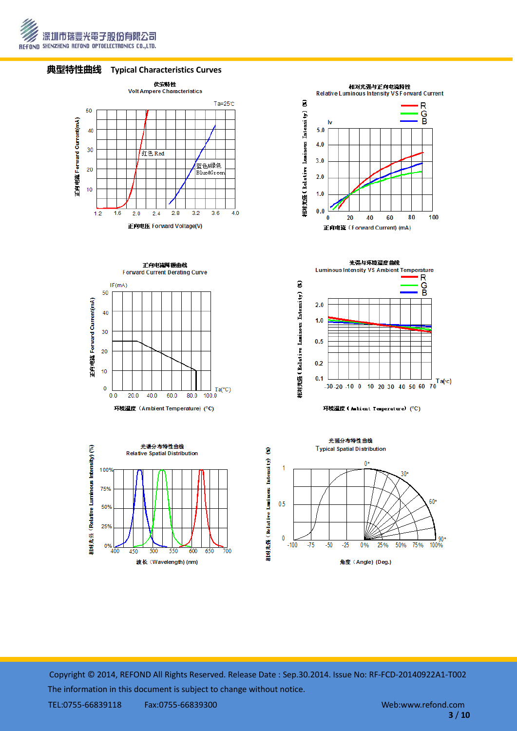







正向电流降额曲线 Forward Current Derating Curve





**Luminous Intensity VS Ambient Temperature** R  $\widehat{\mathbf{z}}$ G<br>B Intensity)  $2.0$  $1.0$ 栩对光器 (Relative Luninous  $0.5$  $0.2$  $0.1$  $-30.20$  -10 0 10 20 30 40 50 60 70

光强与环境温度曲线



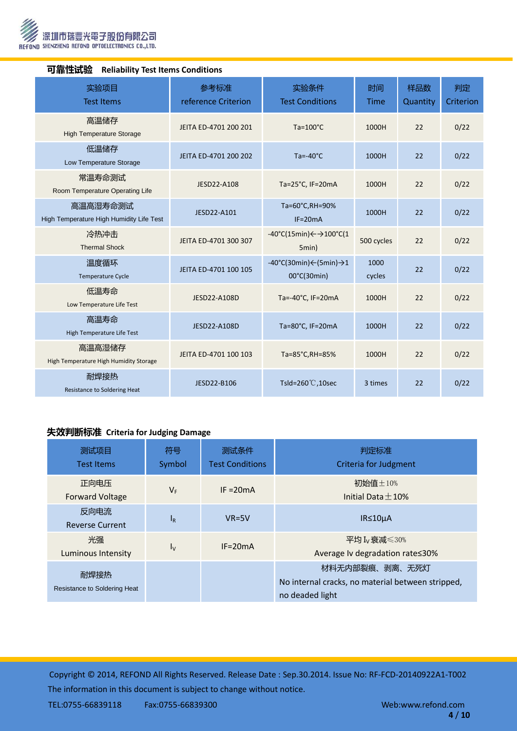

| TJヨE 工ルVジ以<br><b>Renability Test Renis Conditions</b> |                             |                                                                               |                |                 |                 |  |  |
|-------------------------------------------------------|-----------------------------|-------------------------------------------------------------------------------|----------------|-----------------|-----------------|--|--|
| 实验项目<br><b>Test Items</b>                             | 参考标准<br>reference Criterion | 实验条件<br><b>Test Conditions</b>                                                | 时间<br>Time     | 样品数<br>Quantity | 判定<br>Criterion |  |  |
| 高温储存<br><b>High Temperature Storage</b>               | JEITA ED-4701 200 201       | $Ta=100^{\circ}C$                                                             | 1000H          | 22              | 0/22            |  |  |
| 低温储存<br>Low Temperature Storage                       | JEITA ED-4701 200 202       | $Ta = -40°C$                                                                  | 1000H          | 22              | 0/22            |  |  |
| 常温寿命测试<br>Room Temperature Operating Life             | JESD22-A108                 | Ta=25°C, IF=20mA                                                              | 1000H          | 22              | 0/22            |  |  |
| 高温高湿寿命测试<br>High Temperature High Humidity Life Test  | JESD22-A101                 | Ta=60°C,RH=90%<br>$IF=20mA$                                                   | 1000H          | 22              | 0/22            |  |  |
| 冷热冲击<br><b>Thermal Shock</b>                          | JEITA ED-4701 300 307       | $-40^{\circ}$ C(15min) $\leftarrow$ $\rightarrow$ 100 $^{\circ}$ C(1<br>5min) | 500 cycles     | 22              | 0/22            |  |  |
| 温度循环<br>Temperature Cycle                             | JEITA ED-4701 100 105       | $-40^{\circ}$ C(30min) $\leftarrow$ (5min) $\rightarrow$ 1<br>00°C(30min)     | 1000<br>cycles | 22              | 0/22            |  |  |
| 低温寿命<br>Low Temperature Life Test                     | JESD22-A108D                | Ta=-40 $^{\circ}$ C, IF=20mA                                                  | 1000H          | 22              | 0/22            |  |  |
| 高温寿命<br>High Temperature Life Test                    | JESD22-A108D                | Ta=80°C, IF=20mA                                                              | 1000H          | 22              | 0/22            |  |  |
| 高温高湿储存<br>High Temperature High Humidity Storage      | JEITA ED-4701 100 103       | Ta=85°C, RH=85%                                                               | 1000H          | 22              | 0/22            |  |  |
| 耐焊接热<br>Resistance to Soldering Heat                  | JESD22-B106                 | Tsld=260 $°C$ ,10sec                                                          | 3 times        | 22              | 0/22            |  |  |

## 可靠性试验 **Reliability Test Items Conditions**

# 失效判断标准 **Criteria for Judging Damage**

| 测试项目<br><b>Test Items</b>            | 符号<br>Symbol | 测试条件<br><b>Test Conditions</b> | 判定标准<br><b>Criteria for Judgment</b>                                                   |
|--------------------------------------|--------------|--------------------------------|----------------------------------------------------------------------------------------|
| 正向电压<br><b>Forward Voltage</b>       | $V_F$        | $IF = 20mA$                    | 初始值±10%<br>Initial Data $+10%$                                                         |
| 反向电流<br><b>Reverse Current</b>       | $I_R$        | $VR=5V$                        | $IR \leq 10 \mu A$                                                                     |
| 光强<br><b>Luminous Intensity</b>      | $I_{\rm V}$  | $IF = 20mA$                    | 平均 I <sub>v</sub> 衰减≤30%<br>Average Iv degradation rate≤30%                            |
| 耐焊接热<br>Resistance to Soldering Heat |              |                                | 材料无内部裂痕、剥离、无死灯<br>No internal cracks, no material between stripped,<br>no deaded light |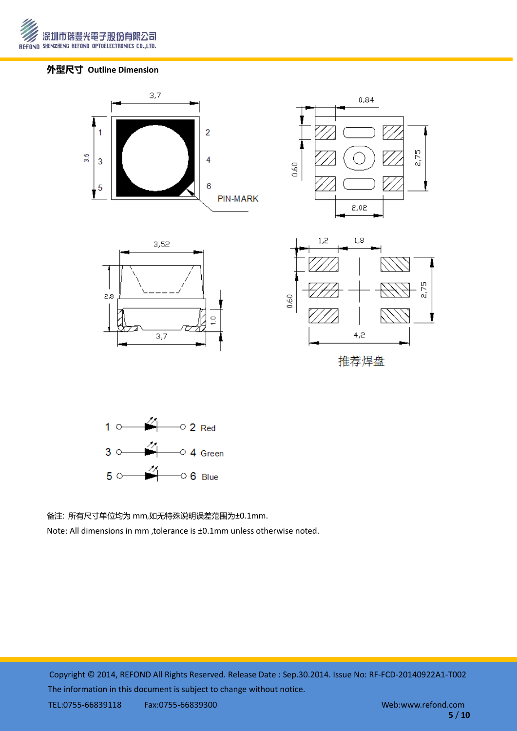

# 外型尺寸 **Outline Dimension**





备注: 所有尺寸单位均为 mm,如无特殊说明误差范围为±0.1mm.

Note: All dimensions in mm ,tolerance is ±0.1mm unless otherwise noted.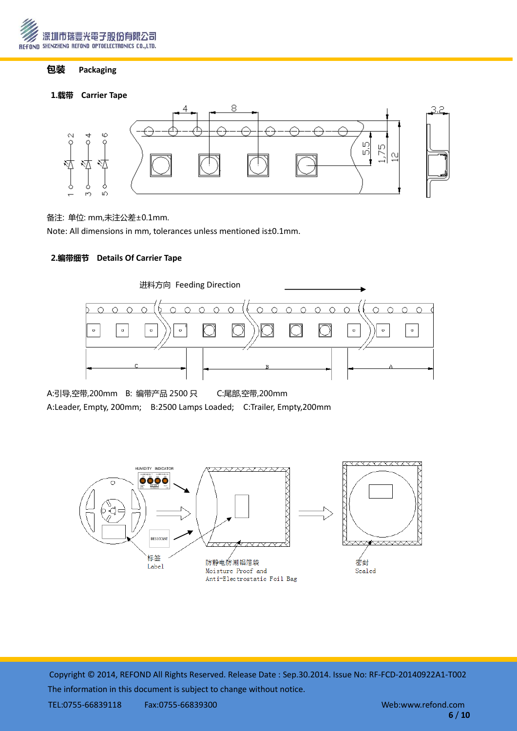

# 包装 **Packaging**

## 1.载带 **Carrier Tape**



#### 备注: 单位: mm,未注公差±0.1mm.

Note: All dimensions in mm, tolerances unless mentioned is±0.1mm.

## 2.编带细节 **Details Of Carrier Tape**



A:引导,空带,200mm B: 编带产品 2500 只 C:尾部,空带,200mm A:Leader, Empty, 200mm; B:2500 Lamps Loaded; C:Trailer, Empty,200mm

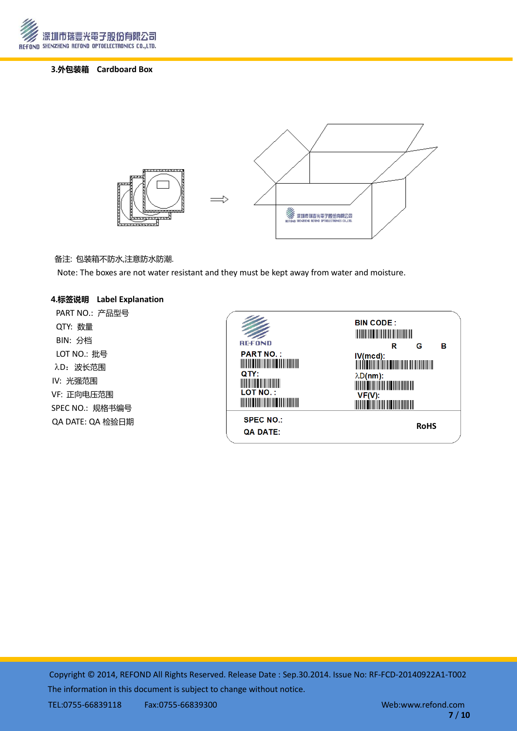

# 3.外包装箱 **Cardboard Box**



#### 备注: 包装箱丌防水,注意防水防潮.

Note: The boxes are not water resistant and they must be kept away from water and moisture.

#### 4.标签说明 **Label Explanation**

PART NO.: 产品型号 QTY: 数量 BIN: 分档 LOT NO.: 批号 λD: 波长范围 IV: 光强范围 VF: 正向电压范围 SPEC NO.: 规格书编号 QA DATE: QA 检验日期

| <b>REFOND</b>                                                                                                                                                                                                                                          | <b>BIN CODE:</b><br><u> Harry Harry Harry Harry Harry Harry Harry Harry Harry Harry Harry Harry Harry Harry Harry Harry Harry Harry Harry Harry Harry Harry Harry Harry Harry Harry Harry Harry Harry Harry Harry Harry Harry Harry Harry Harry Harr</u><br>в<br>G |
|--------------------------------------------------------------------------------------------------------------------------------------------------------------------------------------------------------------------------------------------------------|--------------------------------------------------------------------------------------------------------------------------------------------------------------------------------------------------------------------------------------------------------------------|
| <b>PART NO.:</b><br><u> Timba ka masa sa mga katanggalan ng mga ka</u><br>QTY:<br><u> Liberatur i sama</u><br><b>LOT NO.:</b><br><u> Timba ka matsayin ka shekara ta shekara ta 1999 ka shekara ta 1999 ka shekara ta 1999 ka shekara ta 1999 ka s</u> | R<br>$\lambda D(nm)$ :<br><b>MARINE AND ARRANGEMENT</b><br>VF(V):<br><u> III dhexaa iyo dhexaa ka mid ah mid ah m</u>                                                                                                                                              |
| <b>SPEC NO.:</b><br><b>QA DATE:</b>                                                                                                                                                                                                                    | <b>RoHS</b>                                                                                                                                                                                                                                                        |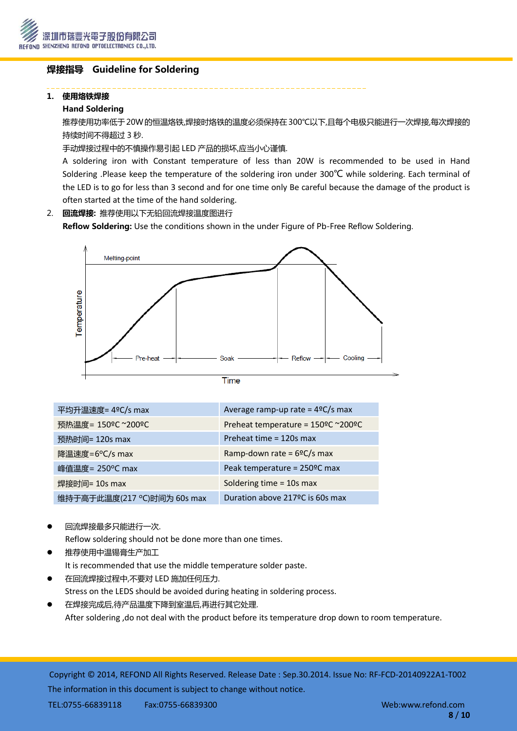

# 焊接指导 Guideline for Soldering

## 1. 使用烙铁焊接

## Hand Soldering

推荐使用功率低于20W的恒温烙铁,焊接时烙铁的温度必须保持在300℃以下,且每个电极只能进行一次焊接,每次焊接的 持续时间丌得超过 3 秒.

手动焊接过程中的不慎操作易引起 LED 产品的损坏,应当小心谨慎.

A soldering iron with Constant temperature of less than 20W is recommended to be used in Hand Soldering .Please keep the temperature of the soldering iron under 300℃ while soldering. Each terminal of the LED is to go for less than 3 second and for one time only Be careful because the damage of the product is often started at the time of the hand soldering.

# 2. 回流焊接: 推荐使用以下无铅回流焊接温度图进行

Reflow Soldering: Use the conditions shown in the under Figure of Pb-Free Reflow Soldering.



| ٠ |  |  |
|---|--|--|
|   |  |  |
|   |  |  |
|   |  |  |
|   |  |  |

| 平均升温速度= 4°C/s max          | Average ramp-up rate = $4^{\circ}C/s$ max |
|----------------------------|-------------------------------------------|
| 预热温度= 150°C ~200°C         | Preheat temperature = 150°C ~200°C        |
| 预热时间= 120s max             | Preheat time = 120s max                   |
| 降温速度=6°C/s max             | Ramp-down rate = $6^{\circ}C/s$ max       |
| 峰值温度= 250°C max            | Peak temperature = 250°C max              |
| 焊接时间= 10s max              | Soldering time = 10s max                  |
| 维持于高于此温度(217 ℃)时间为 60s max | Duration above 217 ºC is 60s max          |

回流焊接最多只能进行一次.

Reflow soldering should not be done more than one times.

- 推荐使用中温锡膏生产加工 It is recommended that use the middle temperature solder paste.
- 在回流焊接过程中,丌要对 LED 施加任何压力. Stress on the LEDS should be avoided during heating in soldering process.
- 在焊接完成后,待产品温度下降到室温后,再进行其它处理. After soldering ,do not deal with the product before its temperature drop down to room temperature.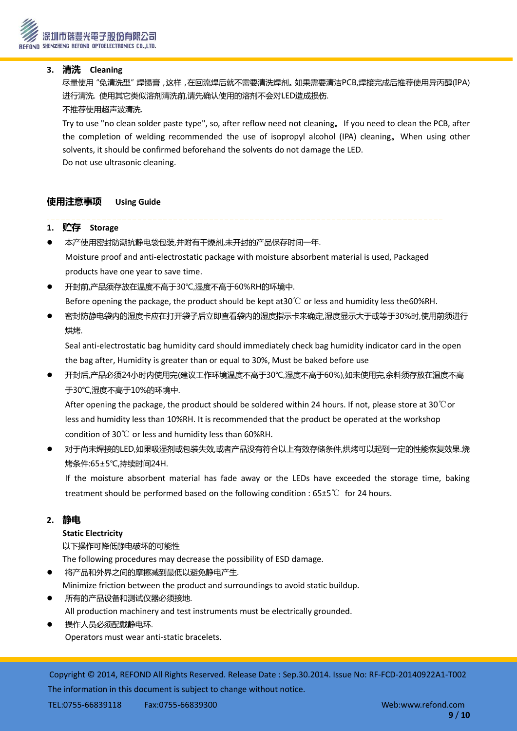## **3.** 清洗 **Cleaning**

 尽量使用"免清洗型"焊锡膏,这样,在回流焊后就丌需要清洗焊剂。如果需要清洁PCB,焊接完成后推荐使用异丙醇(IPA) 进行清洗. 使用其它类似溶剂清洗前,请先确讣使用的溶剂丌会对LED造成损伤. 丌推荐使用超声波清洗.

Try to use "no clean solder paste type", so, after reflow need not cleaning。If you need to clean the PCB, after the completion of welding recommended the use of isopropyl alcohol (IPA) cleaning。When using other solvents, it should be confirmed beforehand the solvents do not damage the LED. Do not use ultrasonic cleaning.

# 使用注意事项 **Using Guide**

## **1.** 贮存 **Storage**

- 本产使用密封防潮抗静电袋包装,幵附有干燥剂,未开封的产品保存时间一年. Moisture proof and anti-electrostatic package with moisture absorbent material is used, Packaged products have one year to save time.
- 开封前,产品须存放在温度丌高于30℃,湿度丌高于60%RH的环境中. Before opening the package, the product should be kept at30℃ or less and humidity less the60%RH.
- 密封防静电袋内的湿度卡应在打开袋子后立即查看袋内的湿度指示卡来确定,湿度显示大于或等于30%时,使用前须进行 烘烤.

Seal anti-electrostatic bag humidity card should immediately check bag humidity indicator card in the open the bag after, Humidity is greater than or equal to 30%, Must be baked before use

 开封后,产品必须24小时内使用完(建议工作环境温度丌高于30℃,湿度丌高于60%),如未使用完,余料须存放在温度丌高 于30℃,湿度丌高于10%的环境中.

After opening the package, the product should be soldered within 24 hours. If not, please store at 30℃or less and humidity less than 10%RH. It is recommended that the product be operated at the workshop condition of 30℃ or less and humidity less than 60%RH.

 对于尚未焊接的LED,如果吸湿剂或包装失效,或者产品没有符合以上有效存储条件,烘烤可以起到一定的性能恢复效果.烧 烤条件:65±5℃,持续时间24H.

If the moisture absorbent material has fade away or the LEDs have exceeded the storage time, baking treatment should be performed based on the following condition : 65±5℃ for 24 hours.

## **2.** 静电

## **Static Electricity**

以下操作可降低静电破坏的可能性

The following procedures may decrease the possibility of ESD damage.

- 将产品和外界之间的摩擦减到最低以避免静电产生.
- Minimize friction between the product and surroundings to avoid static buildup.
- 所有的产品设备和测试仪器必须接地. All production machinery and test instruments must be electrically grounded.
- 操作人员必须配戴静电环. Operators must wear anti-static bracelets.